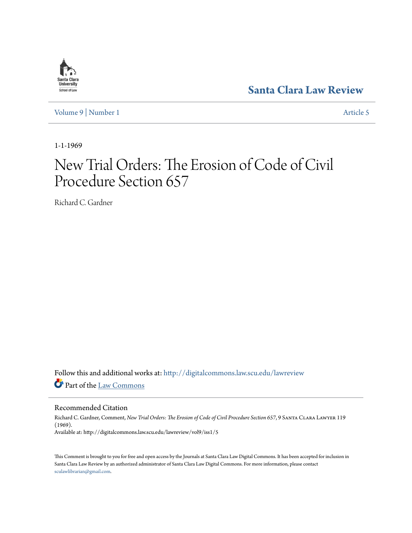## Santa Clara **University** School of Law

**[Santa Clara Law Review](http://digitalcommons.law.scu.edu/lawreview?utm_source=digitalcommons.law.scu.edu%2Flawreview%2Fvol9%2Fiss1%2F5&utm_medium=PDF&utm_campaign=PDFCoverPages)**

[Volume 9](http://digitalcommons.law.scu.edu/lawreview/vol9?utm_source=digitalcommons.law.scu.edu%2Flawreview%2Fvol9%2Fiss1%2F5&utm_medium=PDF&utm_campaign=PDFCoverPages) | [Number 1](http://digitalcommons.law.scu.edu/lawreview/vol9/iss1?utm_source=digitalcommons.law.scu.edu%2Flawreview%2Fvol9%2Fiss1%2F5&utm_medium=PDF&utm_campaign=PDFCoverPages) [Article 5](http://digitalcommons.law.scu.edu/lawreview/vol9/iss1/5?utm_source=digitalcommons.law.scu.edu%2Flawreview%2Fvol9%2Fiss1%2F5&utm_medium=PDF&utm_campaign=PDFCoverPages)

1-1-1969

# New Trial Orders: The Erosion of Code of Civil Procedure Section 657

Richard C. Gardner

Follow this and additional works at: [http://digitalcommons.law.scu.edu/lawreview](http://digitalcommons.law.scu.edu/lawreview?utm_source=digitalcommons.law.scu.edu%2Flawreview%2Fvol9%2Fiss1%2F5&utm_medium=PDF&utm_campaign=PDFCoverPages) Part of the [Law Commons](http://network.bepress.com/hgg/discipline/578?utm_source=digitalcommons.law.scu.edu%2Flawreview%2Fvol9%2Fiss1%2F5&utm_medium=PDF&utm_campaign=PDFCoverPages)

Recommended Citation

Richard C. Gardner, Comment, *New Trial Orders: The Erosion of Code of Civil Procedure Section 657*, 9 Santa Clara Lawyer 119 (1969). Available at: http://digitalcommons.law.scu.edu/lawreview/vol9/iss1/5

This Comment is brought to you for free and open access by the Journals at Santa Clara Law Digital Commons. It has been accepted for inclusion in Santa Clara Law Review by an authorized administrator of Santa Clara Law Digital Commons. For more information, please contact [sculawlibrarian@gmail.com](mailto:sculawlibrarian@gmail.com).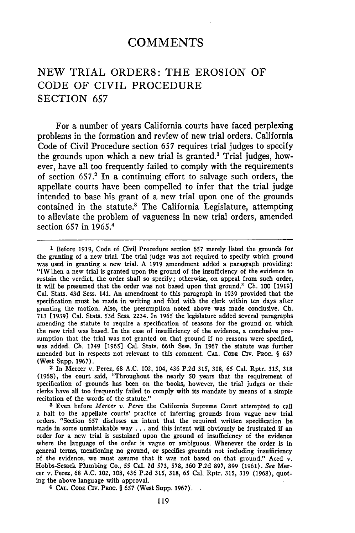## **COMMENTS**

## **NEW** TRIAL ORDERS: THE EROSION OF CODE OF CIVIL PROCEDURE SECTION **657**

For a number of years California courts have faced perplexing problems in the formation and review of new trial orders. California Code of Civil Procedure section **657** requires trial judges to specify the grounds upon which a new trial is granted.' Trial judges, however, have all too frequently failed to comply with the requirements of section **657.2** In a continuing effort to salvage such orders, the appellate courts have been compelled to infer that the trial judge intended to base his grant of a new trial upon one of the grounds contained in the statute.<sup>3</sup> The California Legislature, attempting to alleviate the problem of vagueness in new trial orders, amended section **657** in **1965. <sup>4</sup>**

**<sup>1</sup>**Before 1919, Code of Civil Procedure section **657** merely listed the grounds for the granting of a new trial. The trial judge was not required to specify which ground was used in granting a new trial. A 1919 amendment added a paragraph providing: "[Wlhen a new trial is granted upon the ground of the insufficiency of the evidence to sustain the verdict, the order shall so specify; otherwise, on appeal from such order, it will be presumed that the order was not based upon that ground." Ch. 100 [1919] Cal. Stats. 43d Sess. 141. An amendment to this paragraph in 1939 provided that the specification must be made in writing and filed with the clerk within ten days after granting the motion. Also, the presumption noted above was made conclusive. **Ch.** 713 [1939] Cal. Stats. **53d** Sess. 2234. In 1965 the legislature added several paragraphs amending the statute to require a specification of reasons for the ground on which the new trial was based. In the case of insufficiency of the evidence, a conclusive presumption that the trial was not granted on that ground if no reasons were specified, was added. Ch. 1749 [1965] Cal. Stats. 66th Sess. In **1967** the statute was further amended but in respects not relevant to this comment. **CAL.** CODE CIv. PROC. § **657** (West Supp. 1967).

**<sup>2</sup>**In Mercer v. Perez, 68 A.C. 102, 104, 436 P.2d 315, **318, 65** Cal. Rptr. **315, 318** (1968), the court said, "Throughout the nearly 50 years that the requirement of specification of grounds has been on the books, however, the trial judges or their clerks have all too frequently failed to comply with its mandate by means of a simple recitation of the words of the statute."

**<sup>3</sup>**Even before *Mercer v. Perez* the California Supreme Court attempted to call a halt to the appellate courts' practice of inferring grounds from vague new trial orders. "Section 657 discloses an intent that the required written specification be made in some unmistakable way **...** and this intent will obviously be frustrated **if** an order for a new trial is sustained upon the ground of insufficiency of the evidence where the language of the order is vague or ambiguous. Whenever the order is in general terms, mentioning no ground, or specifies grounds not including insufficiency of the evidence, we must assume that it was not based on that ground." Aced v. Hobbs-Sesack Plumbing Co., **55** Cal. **2d 573,** 578, **360** P.2d 897, **899** (1961). *See* Mercer v. Perez, 68 A.C. 102, 108, 436 P.2d **315,** 318, 65 Cal. Rptr. **315, 319** (1968), quoting the above language with approval.

4 **CAL. CODE** CIV. PROC. § **657** (West Supp. 1967).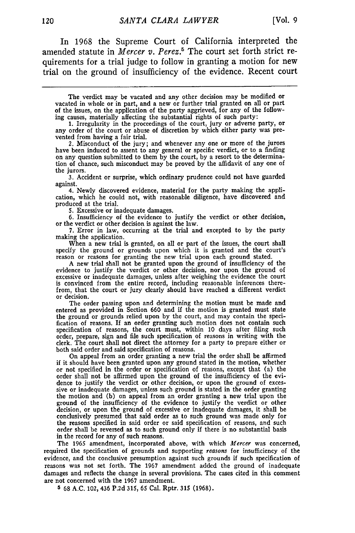In 1968 the Supreme Court of California interpreted the amended statute in *Mercer v. Perez.'* The court set forth strict requirements for a trial judge to follow in granting a motion for new trial on the ground of insufficiency of the evidence. Recent court

The verdict may be vacated and any other decision may be modified or vacated in whole or in part, and a new or further trial granted on all or part of the issues, on the application of the party aggrieved, for any of the following causes, materially affecting the substantial rights of such party: **1.** Irregularity in the proceedings of the court, jury or adverse party, or

any order of the court or abuse of discretion **by** which either party was prevented from having a fair trial.

2. Misconduct of the jury; and whenever any one or more of the jurors have been induced to assent to any general or specific verdict, or to a finding on any question submitted to them **by** the court, **by** a resort to the determination of chance, such misconduct may be proved **by** the affidavit of any one of the jurors.

**3.** Accident or surprise, which ordinary prudence could not have guarded against.

4. Newly discovered evidence, material for the party making the application, which he could not, with reasonable diligence, have discovered and produced at the trial.

**5.** Excessive or inadequate damages.

**6.** Insufficiency of the evidence to justify the verdict or other decision, or the verdict or other decision is against the law.

**7.** Error in law, occurring at the trial and excepted to **by** the party making the application.

When a new trial is granted, on all or part of the issues, the court shall specify the ground or grounds upon which it is granted and the court's reason or reasons for granting the new trial upon each ground stated.

A new trial shall not be granted upon the ground of insufficiency of the evidence to justify the verdict or other decision, nor upon the ground of excessive or inadequate damages, unless after weighing the evidence the court is convinced from the entire record, including reasonable inferences therefrom, that the court or jury clearly should have reached a different verdict or decision.

The order passing upon and determining the motion must be made and entered as provided in Section **660** and if the motion is granted must state the ground or grounds relied upon **by** the court, and may contain the specification of reasons. If an order granting such motion does not contain such<br>specification of reasons, the court must, within 10 days after filing such<br>order, prepare, sign and file such specification of reasons in writing clerk. The court shall not direct the attorney for a party to prepare either or both said order and said specification of reasons.

On appeal from an order granting a new trial the order shall be affirmed if it should have been granted upon any ground stated in the motion, whether or not specified in the order or specification of reasons, except that (a) the order shall not be affirmed upon the ground of the insufficiency of the evidence to justify the verdict or other decision, or upon the ground of excessive or inadequate damages, unless such ground is stated in the order granting the motion and (b) on appeal from an order granting a new trial upon the ground of the insufficiency of the evidence to justify the verdict or other decision, or upon the ground of excessive or inadequate damages, it shall be conclusively presumed that said order as to such ground was made only for the reasons specified in said order or said specification of reasons, and such order shall **be** reversed as to such ground only if there is no substantial basis in the record for any of such reasons.

The 1965 amendment, incorporated above, with which *Mercer* was concerned, required the specification of grounds and supporting *reasons* for insufficiency of the evidence, and the conclusive presumption against such grounds if such specification of reasons was not set forth. The 1967 amendment addcd the ground of inadequate damages and reflects the change in several provisions. The cases cited in this comment are not concerned with the 1967 amendment.

**5** 68 A.C. 102, 436 **P.2d 315, 65** Cal. Rptr. **315** (1968).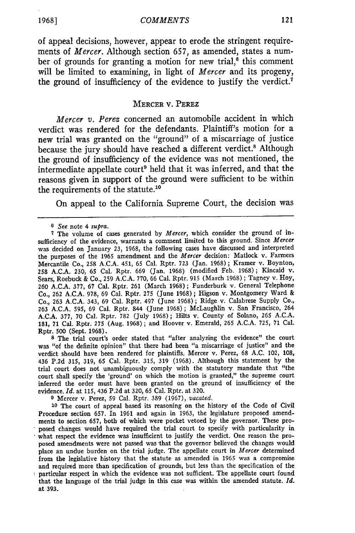of appeal decisions, however, appear to erode the stringent requirements of *Mercer.* Although section 657, as amended, states a number of grounds for granting a motion for new trial, $6$  this comment will be limited to examining, in light of *Mercer* and its progeny, the ground of insufficiency of the evidence to justify the verdict.<sup>7</sup>

#### MERCER V. PEREZ

*Mercer v. Perez* concerned an automobile accident in which verdict was rendered for the defendants. Plaintiff's motion for a new trial was granted on the "ground" of a miscarriage of justice because the jury should have reached a different verdict.<sup>8</sup> Although the ground of insufficiency of the evidence was not mentioned, the intermediate appellate court<sup>9</sup> held that it was inferred, and that the reasons given in support of the ground were sufficient to be within the requirements of the statute.10

On appeal to the California Supreme Court, the decision was

**8** The trial court's order stated that "after analyzing the evidence" the court was "of the definite opinion" that there had been "a miscarriage of justice" and the verdict should have been rendered for plaintiffs. Mercer v. Perez, 68 A.C. 102, 108, 436 P.2d 315, 319, 65 Cal. Rptr. 315, 319 (1968). Although this statement by the trial court does not unambiguously comply with the statutory mandate that "the court shall specify the 'ground' on which the motion is granted," the supreme cour inferred the order must have been granted on the ground of insufficiency of the evidence. *Id.* at 115, 436 P.2d at 320, 65 Cal. Rptr. at 320.

**9** Mercer v. Perez, 59 Cal. Rptr. 389 (1967), *vacated.*

**<sup>10</sup>**The court of appeal based its reasoning on the history of the Code of Civil Procedure section 657. In 1961 and again in 1963, the legislature proposed amendments to section 657, both of which were pocket vetoed by the governor. These proposed changes would have required the trial court to specify with particularity in what respect the evidence was insufficient to justify the verdict. One reason the proposed amendments were not passed was that the governor believed the changes would place an undue burden on the trial judge. The appellate court in *Mercer* determined from the legislative history that the statute as amended in 1965 was a compromise and required more than specification of grounds, but less than the specification of the particular respect in which the evidence was not sufficient. The appellate court found that the language of the trial judge in this case was within the amended statute. *Id.* at 393.

*<sup>6</sup> See* note 4 *supra.*

<sup>7</sup> The volume of cases generated by *Mercer,* which consider the ground of insufficiency of the evidence, warrants a comment limited to this ground. Since *Mercer* was decided on January 23, 1968, the following cases have discussed and interpreted the purposes of the 1965 amendment and the *Mercer* decision: Matlock v. Farmers Mercantile Co., 258 A.C.A. 451, 65 Cal. Rptr. 723 (Jan. 1968) ; Kramer v. Boynton, **258** A.C.A. 230, 65 Cal. Rptr. 669 (Jan. 1968) (modified Feb. 1968) ; Kincaid v. Sears, Roebuck & Co., 259 **A.C.A.** 770, 66 Cal. Rptr. 915 (March 1968) ; Tagney v. Hoy, **260** A.C.A. 377, 67 Cal. Rptr. 261 (March 1968) ; Funderburk v. General Telephone Co., **262** A.C.A. 978, 69 Cal. Rptr. 275 (June 1968); Higson v. Montgomery Ward & Co., 263 A.C.A. 343, 69 Cal. Rptr. 497 (June 1968); Ridge v. Calabrese Supply Co., **263** A.C.A. 595, 69 Cal. Rptr. 844 (June 1968); McLaughlin v. San Francisco, 264 A.C.A. 377, 70 Cal. Rptr. 782 (July 1968); Hilts v. County of Solano, 265 A.C.A. 181, 71 Cal. Rptr. *275* (Aug. 1968); and Hoover v. Emerald, **265** A.C.A. 725, 71 Cal. Rptr. 500 (Sept. 1968).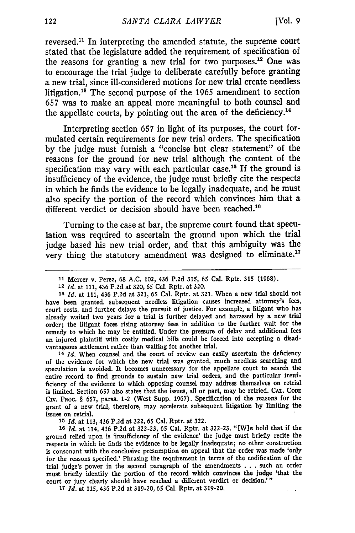reversed.<sup>11</sup> In interpreting the amended statute, the supreme court stated that the legislature added the requirement of specification of the reasons for granting a new trial for two purposes.<sup>12</sup> One was to encourage the trial judge to deliberate carefully before granting a new trial, since ill-considered motions for new trial create needless litigation.'8 The second purpose of the 1965 amendment to section 657 was to make an appeal more meaningful to both counsel and the appellate courts, by pointing out the area of the deficiency.<sup>14</sup>

Interpreting section **657** in light of its purposes, the court formulated certain requirements for new trial orders. The specification by the judge must furnish a "concise but clear statement" of the reasons for the ground for new trial although the content of the specification may vary with each particular case.<sup>15</sup> If the ground is insufficiency of the evidence, the judge must briefly cite the respects in which he finds the evidence to be legally inadequate, and he must also specify the portion of the record which convinces him that a different verdict or decision should have been reached.<sup>16</sup>

Turning to the case at bar, the supreme court found that speculation was required to ascertain the ground upon which the trial judge based his new trial order, and that this ambiguity was the very thing the statutory amendment was designed to eliminate.<sup>17</sup>

**<sup>13</sup>***Id.* at 111, 436 P.2d at **321, 65** Cal. Rptr. at 321. When a new trial should not have been granted, subsequent needless litigation causes increased attorney's fees, court costs, and further delays the pursuit of justice. For example, a litigant who has already waited two years for a trial is further delayed and harassed **by** a new trial order; the litigant faces rising attorney fees in addition to the further wait for the remedy to which he may be entitled. Under the pressure of delay and additional fees an injured plaintiff with costly medical bills could be forced into accepting a disadvantageous settlement rather than waiting for another trial.

**<sup>14</sup>***Id.* When counsel and the court of review can easily ascertain the deficiency of the evidence for which the new trial was granted, much needless searching and speculation is avoided. It becomes unnecessary for the appellate court to search the entire record to find grounds to sustain new trial orders, and the particular insufficiency of the evidence to which opposing counsel may address themselves on retrial is limited. Section 657 also states that the issues, all or part, may be retried. **CAL. CoDE** CrV. PROC. § 657, paras. 1-2 (West Supp. 1967). Specification of the reasons for the grant of a new trial, therefore, may accelerate subsequent litigation by limiting the issues on retrial.

**<sup>15</sup>***Id.* at 113, 436 P.2d at **322, 65** Cal. Rptr. at **322.**

**<sup>16</sup>***Id.* at 114, 436 P.2d at 322-23, 65 Cal. Rptr. at **322-23.** "[W]e hold that if the ground relied upon is 'insufficiency of the evidence' the judge must briefly recite the respects in which he finds the evidence to be legally inadequate; no other construction is consonant with the conclusive presumption on appeal that the order was made 'only for the reasons specified.' Phrasing the requirement in terms of the codification of the trial judge's power in the second paragraph of the amendments . . . such an order must briefly identify the portion of the record which convinces the judge 'that the court or jury clearly should have reached a different verdict or decision.'"

*<sup>17</sup>Id.* at **115,** 436 **P.2d** at **319-20, 65** Cal. Rptr. at **319-20.**

**<sup>11</sup>**Mercer v. Perez, **68 A.C.** 102, 436 **P.2d 315, 65** Cal. Rptr. **315 (1968).**

**<sup>12</sup>***Id.* at 111, 436 P.2d at 320, **65** Cal. Rptr. at 320.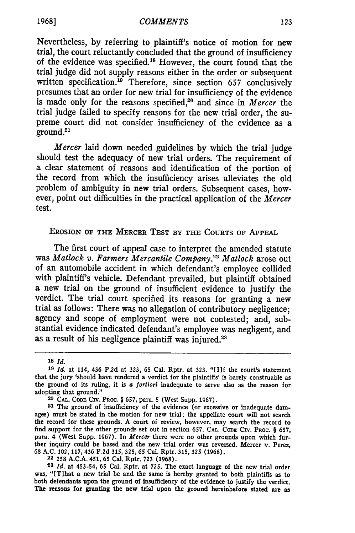Nevertheless, **by** referring to plaintiff's notice of motion for new trial, the court reluctantly concluded that the ground of insufficiency of the evidence was specified.<sup>18</sup> However, the court found that the trial judge did not supply reasons either in the order or subsequent written specification.<sup>19</sup> Therefore, since section 657 conclusively presumes that an order for new trial for insufficiency of the evidence is made only for the reasons specified,<sup>20</sup> and since in *Mercer* the trial judge failed to specify reasons for the new trial order, the supreme court did not consider insufficiency of the evidence as a ground.<sup>21</sup>

*Mercer* laid down needed guidelines **by** which the trial judge should test the adequacy of new trial orders. The requirement of a clear statement of reasons and identification of the portion of the record from which the insufficiency arises alleviates the old problem of ambiguity in new trial orders. Subsequent cases, however, point out difficulties in the practical application of the *Mercer* test.

#### EROSION OF **THE** MERCER **TEST BY THE COURTS OF APPEAL**

The first court of appeal case to interpret the amended statute was *Matlock v. Farmers Mercantile Company.22 Matlock* arose out of an automobile accident in which defendant's employee collided with plaintiff's vehicle. Defendant prevailed, but plaintiff obtained a new trial on the ground of insufficient evidence to justify the verdict. The trial court specified its reasons for granting a new trial as follows: There was no allegation of contributory negligence; agency and scope of employment were not contested; and, substantial evidence indicated defendant's employee was negligent, and as a result of his negligence plaintiff was injured.<sup>23</sup>

**<sup>23</sup>***Id.* at 453-54, **65** Cal. Rptr. at **725.** The exact language of the new trial order was, "ITihat a new trial be and the same is hereby granted to both plaintiffs as to both defendants upon the ground of insufficiency of the evidence to justify the verdict. The reasons for granting the new trial upon the ground hereinbefore stated are as

**<sup>18</sup>** *Id.*

**<sup>19</sup>***Id.* at 114, 436 **P.2d** at **323, 65** Cal. Rptr. at **323.** "[I]f the court's statement that the jury 'should have rendered a verdict for the plaintiffs' is barely construable as the ground of its ruling, it is *a fortiori* inadequate to serve also as the reason for adopting that ground." **20 CAL. CODE** CIv. **PROC. § 657,** para. **5** (West Supp. **1967).**

**<sup>21</sup>** The ground of insufficiency of the evidence (or excessive or inadequate damages) must be stated in the motion for new trial; the appellate court will not search the record for these grounds. **A** court of review, however, may search the record to find support for the other grounds set out in section **657. CAL. CODE** CIV. PRoC. **§ 657,** para. 4 (West Supp. **1967).** In *Mercer* there were no other grounds upon which further inquiry could be based and the new trial order was reversed. Mercer v. Perez, **68 A.C.** 102, **117,** 436 **P.2d 315, 325, 65** Cal. Rptr. **315, 325 (1968). 22 258 A.C.A.** 451, **65** Cal. Rptr. **723 (1968).**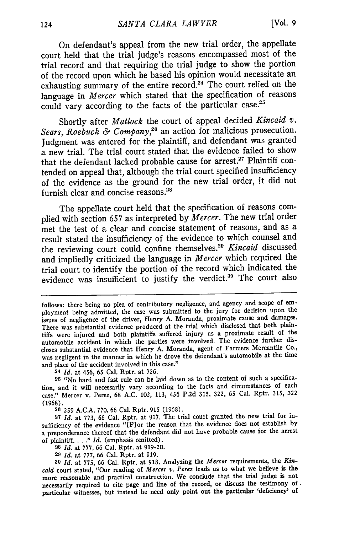On defendant's appeal from the new trial order, the appellate court held that the trial judge's reasons encompassed most of the trial record and that requiring the trial judge to show the portion of the record upon which he based his opinion would necessitate an exhausting summary of the entire record.<sup>24</sup> The court relied on the language in *Mercer* which stated that the specification of reasons could vary according to the facts of the particular case.<sup>25</sup>

Shortly after *Matlock* the court of appeal decided *Kincaid v. Sears, Roebuck & Company,26* an action for malicious prosecution. Judgment was entered for the plaintiff, and defendant was granted a new trial. The trial court stated that the evidence failed to show that the defendant lacked probable cause for arrest.<sup>27</sup> Plaintiff contended on appeal that, although the trial court specified insufficiency of the evidence as the ground for the new trial order, it did not furnish clear and concise reasons.<sup>28</sup>

The appellate court held that the specification of reasons complied with section 657 as interpreted by *Mercer.* The new trial order met the test of a clear and concise statement of reasons, and as a result stated the insufficiency of the evidence to which counsel and the reviewing court could confine themselves.<sup>29</sup>*Kincaid* discussed and impliedly criticized the language in *Mercer* which required the trial court to identify the portion of the record which indicated the evidence was insufficient to justify the verdict.<sup>30</sup> The court also

**<sup>24</sup>***Id.* at 456, **65** Cal. Rptr. at **726.**

**25** "No hard and fast rule can be laid down as to the content of such a specification, and it will necessarily vary according to the facts and circumstances of each case." Mercer v. Perez, 68 A.C. 102, 113, 436 **P.2d 315, 322, 65** Cal. Rptr. **315, 322** (1968).

**26 259** A.C.A. 770, 66 Cal. Rptr. **915** (1968).

**27** *Id.* at **773,** 66 Cal. Rptr. at 917. The trial court granted the new trial for insufficiency of the evidence "IFlor the reason that the evidence does not establish **by** a preponderance thereof that the defendant did not have probable cause for the arrest of plaintiff. . . **."** *Id.* (emphasis omitted).

**<sup>28</sup>***Id.* at **777,** 66 Cal. Rptr. at **919-20.**

**<sup>29</sup>***Id.* at **777,** 66 Cal. Rptr. at 919.

**30** *Id.* at **775,** 66 Cal. Rptr. at 918. Analyzing the *Mercer* requirements, the *Kincaid* court stated, "Our reading of *Mercer v. Perez* leads us to what we believe is the more reasonable and practical construction. We conclude that the trial judge is not necessarily required to cite page and line of the record, or discuss the testimony of particular witnesses, but instead he need only point out the particular 'deficiency' of

follows: there being no plea of contributory negligence, and agency and scope of employment being admitted, the case was submitted to the jury for decision upon the issues of negligence of the driver, Henry **A.** Moranda, proximate cause and damages. There was substantial evidence produced at the trial which disclosed that both plaintiffs were injured and both plaintiffs suffered injury as a proximate result of the automobile accident in which the parties were involved. The evidence further discloses substantial evidence that Henry **A.** Moranda, agent of Farmers Mercantile Co., was negligent in the manner in which he drove the defendant's automobile at the time and place of the accident involved in this case."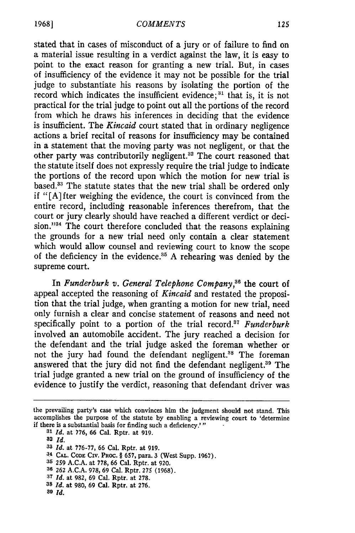stated that in cases of misconduct of a jury or of failure to find on a material issue resulting in a verdict against the law, it is easy to point to the exact reason for granting a new trial. But, in cases of insufficiency of the evidence it may not be possible for the trial judge to substantiate his reasons by isolating the portion of the record which indicates the insufficient evidence;  $31$  that is, it is not practical for the trial judge to point out all the portions of the record from which he draws his inferences in deciding that the evidence is insufficient. The *Kincaid* court stated that in ordinary negligence actions a brief recital of reasons for insufficiency may be contained in a statement that the moving party was not negligent, or that the other party was contributorily negligent.<sup>32</sup> The court reasoned that the statute itself does not expressly require the trial judge to indicate the portions of the record upon which the motion for new trial is based.33 The statute states that the new trial shall be ordered only if "[A] fter weighing the evidence, the court is convinced from the entire record, including reasonable inferences therefrom, that the court or jury clearly should have reached a different verdict or decision." $34$  The court therefore concluded that the reasons explaining the grounds for a new trial need only contain a clear statement which would allow counsel and reviewing court to know the scope of the deficiency in the evidence.<sup>35</sup> A rehearing was denied by the supreme court.

In *Funderburk v. General Telephone Company,36* the court of appeal accepted the reasoning of *Kincaid* and restated the proposition that the trial judge, when granting a motion for new trial, need only furnish a clear and concise statement of reasons and need not specifically point to a portion of the trial record.37 *Funderburk* involved an automobile accident. The jury reached a decision for the defendant and the trial judge asked the foreman whether or not the jury had found the defendant negligent.<sup>38</sup> The foreman answered that the jury did not find the defendant negligent.39 The trial judge granted a new trial on the ground of insufficiency of the evidence to justify the verdict, reasoning that defendant driver was

**<sup>31</sup>***Id.* at **776,** 66 Cal. Rptr. at 919.

- **32** *Id.*
- **<sup>33</sup>***Id.* at **776-77,** 66 Cal. Rptr. at **919.**
- U **CA.. CODE** CIV. PROC. § **657,** para. 3 (West Supp. **1967).**
- **35 259 A.C.A.** at **778,** 66 Cal. Rptr. at 920.
- **36** 262 **A.C.A. 978,** 69 Cal. Rptr. 275 **(1968).**
- **<sup>37</sup>***Id.* at **982,** 69 Cal. Rptr. at **278.**
- **38** *Id.* at **980,** 69 **Cal.** Rptr. at **276.**
- *89 Id.*

the prevailing party's case which convinces him the judgment should not stand. This accomplishes the purpose of the statute by enabling a reviewing court to 'determine if there is a substantial basis for finding such a deficiency.'"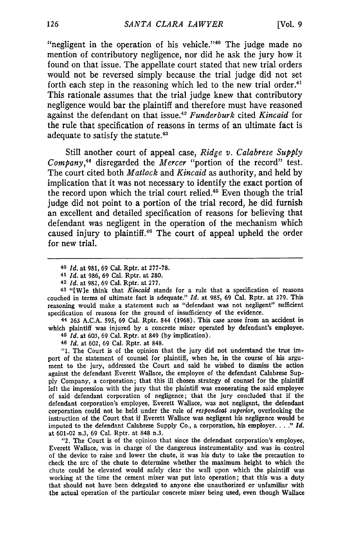"negligent in the operation of his vehicle." $40$  The judge made no mention of contributory negligence, nor did he ask the jury how it found on that issue. The appellate court stated that new trial orders would not be reversed simply because the trial judge did not set forth each step in the reasoning which led to the new trial order.<sup>41</sup> This rationale assumes that the trial judge knew that contributory negligence would bar the plaintiff and therefore must have reasoned against the defendant on that issue.12 *Funderburk* cited *Kincaid* for the rule that specification of reasons in terms of an ultimate fact is adequate to satisfy the statute.<sup>43</sup>

Still another court of appeal case, *Ridge v. Calabrese Supply Company,44* disregarded the *Mercer* "portion of the record" test. The court cited both *Matlock* and *Kincaid* as authority, and held by implication that it was not necessary to identify the exact portion of the record upon which the trial court relied.<sup>45</sup> Even though the trial judge did not point to a portion of the trial record, he did furnish an excellent and detailed specification of reasons for believing that defendant was negligent in the operation of the mechanism which caused injury to plaintiff.<sup>46</sup> The court of appeal upheld the order for new trial.

**<sup>43</sup>**"[We think that *Kincaid* stands for a rule that a specification of reasons couched in terms of ultimate fact is adequate." *Id.* at **985,** 69 Cal. Rptr. at 279. This reasoning would make a statement such as "defendant was not negligent" sufficient specification of reasons for the ground of insufficiency of the evidence.

44 **263** A.C.A. 595, **69** Cal. Rptr. 844 **(1968).** This case arose from an accident in which plaintiff was injured by a concrete mixer operated by defendant's employee. <sup>45</sup>*Id.* at 603, 69 Cal. Rptr. at 849 (by implication).

**46** *Id.* at 602, 69 Cal. Rptr. at 848.

"1. The Court is of the opinion that the jury did not understand the true import of the statement of counsel for plaintiff, when he, in the course of his argument to the jury, addressed the Court and said he wished to dismiss the action against the defendant Everett Wallace, the employee of the defendant Calabrese Supply Company, a corporation; that this ill chosen strategy of counsel for the plaintiff left the impression with the jury that the plaintiff was exonerating the said employee of said defendant corporation of negligence; that the jury concluded that if the defendant corporation's employee, Everett Wallace, was not negligent, the defendant corporation could not be held under the rule of *respondeat superior,* overlooking the instruction of the Court that if Everett Wallace was negligent his negligence would be imputed to the defendant Calabrese Supply Co., a corporation, his employer . *I." Id.* at 601-02 n.3, 69 Cal. Rptr. at **848** n.3.

"2. The Court is of the opinion that since the defendant corporation's employee, Everett Wallace, was in charge of the dangerous instrumentality and was in control of the device to raise and lower the chute, it was his duty to take the precaution to check the arc of the chute to determine whether the maximum height to which the chute could be elevated would safely clear the wall upon which the plaintiff was working at the time the cement mixer was put into operation; that this was a duty that should not have been delegated to anyone else unauthorized or unfamiliar with the actual operation of the particular concrete mixer being used, even though Wallace

**<sup>40</sup>** *Id.* at 981, **69** Cal. Rptr. at **277-78.**

<sup>41</sup>*Id.* at **986, 69** Cal. Rptr. at 280.

**<sup>42</sup>***Id.* at 982, 69 Cal. Rptr. at 277.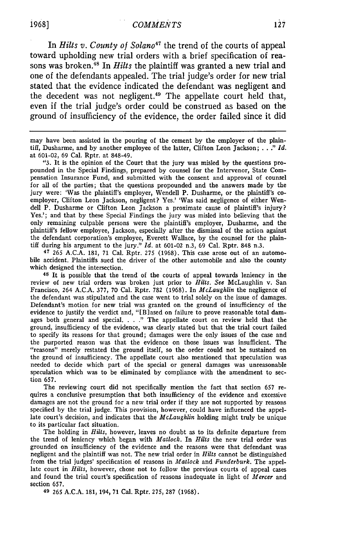In *Hilts v. County of Solano47* the trend of the courts of appeal toward upholding new trial orders with a brief specification of reasons was broken.48 In *Hilts* the plaintiff was granted a new trial and one of the defendants appealed. The trial judge's order for new trial stated that the evidence indicated the defendant was negligent and the decedent was not negligent.<sup>49</sup> The appellate court held that, even if the trial judge's order could be construed as based on the ground of insufficiency of the evidence, the order failed since it did

may have been assisted in the pouring of the cement by the employer of the plaintiff, Dusharme, and by another employee of the latter, Clifton Leon Jackson; . . *." Id.* at 601-02, 69 Cal. Rptr. at 848-49.

"3. It is the opinion of the Court that the jury was misled by the questions propounded in the Special Findings, prepared by counsel for the Intervenor, State Compensation Insurance Fund, and submitted with the consent and approval of counsel for all of the parties; that the questions propounded and the answers made by the jury were: 'Was the plaintiff's employer, Wendell P. Dusharme, or the plaintiff's co- employer, Clifton Leon Jackson, negligent? Yes.' 'Was said negligence of either Wendell P. Dusharme or Clifton Leon Jackson a proximate cause of plaintiff's injury? Yes.'; and that by these Special Findings the jury was misled into believing that the only remaining culpable persons were the plaintiff's employer, Dusharme, and the plaintiff's fellow employee, Jackson, especially after the dismissal of the action against the defendant corporation's employee, Everett Wallace, by the counsel for the plaintiff during his argument to the jury."  $Id$ . at 601-02 n.3, 69 Cal. Rptr. 848 n.3.

**47** 265 A.C.A. 181, 71 Cal. Rptr. 275 (1968). This case arose out of an automobile accident. Plaintiffs sued the driver of the other automobile and also the county which designed the intersection.

**<sup>48</sup>**It is possible that the trend of the courts of appeal towards leniency in the review of new trial orders was broken just prior to *Hilts. See* McLaughlin v. San Francisco, 264 A.C.A. 377, 70 Cal. Rptr. 782 (1968). In *McLaughlin* the negligence of the defendant was stipulated and the case went to trial solely on the issue of damages. Defendant's motion for new trial was granted on the ground of insufficiency of the evidence to justify the verdict and, "[B]ased on failure to prove reasonable total damages both general and special. . . **."** The appellate court on review held that the ground, insufficiency of the evidence, was clearly stated but that the trial court failed to specify its reasons for that ground; damages were the only issues of the case and the purported reason was that the evidence on those issues was insufficient. The "reasons" merely restated the ground itself, so the order could not be sustained on the ground of insufficiency. The appellate court also mentioned that speculation was needed to decide which part of the special or general damages was unreasonable speculation which was to be eliminated by compliance with the amendment to section 657.

The reviewing court did not specifically mention the fact that section 657 requires a conclusive presumption that both insufficiency of the evidence and excessive damages are not the ground for a new trial order if they are not supported by reasons specified by the trial judge. This provision, however, could have influenced the appellate court's decision, and indicates that the *McLaughlin* holding might truly be unique to its particular fact situation.

The holding in *Hilts,* however, leaves no doubt as to its definite departure from the trend of leniency which began with *Matlock.* In *Hilts* the new trial order was grounded on insufficiency of the evidence and the reasons were that defendant was negligent and the plaintiff was not. The new trial order in *Hilts* cannot be distinguished from the trial judges' specification of reasons in *Matlock* and *Funderburk.* The appellate court in *Hilts,* however, chose not to follow the previous courts of appeal cases and found the trial court's specification of reasons inadequate in light of *Mercer* and section 657.

49 265 A.C.A. 181, 194, 71 Cal. Rptr. 275, 287 (1968).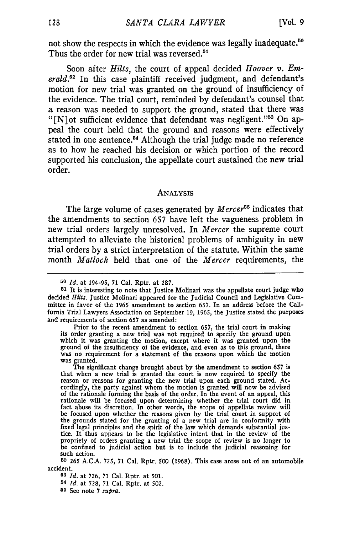not show the respects in which the evidence was legally inadequate.<sup>50</sup> Thus the order for new trial was reversed.<sup>51</sup>

Soon after *Hilts,* the court of appeal decided *Hoover v. Emerald.52* In this case plaintiff received judgment, and defendant's motion for new trial was granted on the ground of insufficiency of the evidence. The trial court, reminded by defendant's counsel that a reason was needed to support the ground, stated that there was "[N]ot sufficient evidence that defendant was negligent."<sup>53</sup> On appeal the court held that the ground and reasons were effectively stated in one sentence.<sup>54</sup> Although the trial judge made no reference as to how he reached his decision or which portion of the record supported his conclusion, the appellate court sustained the new trial order.

#### **ANALYSIS**

The large volume of cases generated by *Mercer55* indicates that the amendments to section 657 have left the vagueness problem in new trial orders largely unresolved. In *Mercer* the supreme court attempted to alleviate the historical problems of ambiguity in new trial orders by a strict interpretation of the statute. Within the same month *Matlock* held that one of the *Mercer* requirements, the

**<sup>53</sup>***Id.* at 726, **71** Cal. Rptr. at 501. **<sup>54</sup>***Id.* at 728, **71** Cal. Rptr. at 502. **55** See note **7** *supra.*

**<sup>50</sup>** *Id.* at 194-95, 71 Cal. Rptr. at 287.

**<sup>51</sup>**It is interesting to note that Justice Molinari was the appellate court judge who decided *Hilts.* Justice Molinari appeared for the Judicial Council and Legislative Committee in favor of the 1965 amendment to section 657. In an address before the California Trial Lawyers Association on September 19, 1965, the Justice stated the purposes and requirements of section 657 as amended:

Prior to the recent amendment to section 657, the trial court in making its order granting a new trial was not required to specify the ground upon which it was granting the motion, except where it was granted upon the ground of the insufficiency of the evidence, and even as to this ground, there was no requirement for a statement of the reasons upon which the motion was no requirement for a statement of the reasons upon which the motion was granted.

The significant change brought about by the amendment to section 657 is that when a new trial is granted the court is now required to specify the reason or reasons for granting the new trial upon each ground stated. Ac-cordingly, the party against whom the motion is granted will now be advised of the rationale forming the basis of the order. In the event of an appeal, this rationale will be focused upon determining whether the trial court did in fact abuse its discretion. In other words, the scope of appellate r be focused upon whether the reasons given by the trial court in support of the grounds stated for the granting of a new trial are in conformity with fixed legal principles and the spirit of the law which demands substantial justice. It thus appears to be the legislative intent that in the review of the propriety of orders granting a new trial the scope of review is no longer to be confined to judicial action but is to include the judicial reasoning for such action.

**<sup>52 265</sup>** A.C.A. **725, 71** Cal. Rptr. 500 (1968). This case arose out of an automobile accident.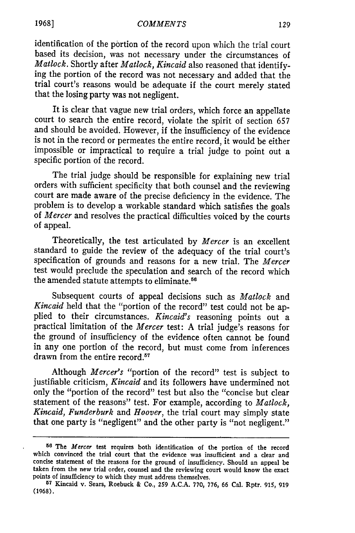#### *COMMENTS*

identification of the portion of the record upon which the trial court based its decision, was not necessary under the circumstances of *Matlock.* Shortly after *Matlock, Kincaid* also reasoned that identifying the portion of the record was not necessary and added that the trial court's reasons would be adequate if the court merely stated that the losing party was not negligent.

It is clear that vague new trial orders, which force an appellate court to search the entire record, violate the spirit of section 657 and should be avoided. However, if the insufficiency of the evidence is not in the record or permeates the entire record, it would be either impossible or impractical to require a trial judge to point out a specific portion of the record.

The trial judge should be responsible for explaining new trial orders with sufficient specificity that both counsel and the reviewing court are made aware of the precise deficiency in the evidence. The problem is to develop a workable standard which satisfies the goals of *Mercer* and resolves the practical difficulties voiced by the courts of appeal.

Theoretically, the test articulated by *Mercer* is an excellent standard to guide the review of the adequacy of the trial court's specification of grounds and reasons for a new trial. The *Mercer* test would preclude the speculation and search of the record which the amended statute attempts to eliminate. $56$ 

Subsequent courts of appeal decisions such as *Matlock* and *Kincaid* held that the "portion of the record" test could not be applied to their circumstances. *Kincaid's* reasoning points out a practical limitation of the *Mercer* test: A trial judge's reasons for the ground of insufficiency of the evidence often cannot be found in any one portion of the record, but must come from inferences drawn from the entire record.<sup>57</sup>

Although *Mercer's* "portion of the record" test is subject to justifiable criticism, *Kincaid* and its followers have undermined not only the "portion of the record" test but also the "concise but clear statement of the reasons" test. For example, according to *Matlock, Kincaid, Funderburk* and *Hoover,* the trial court may simply state that one party is "negligent" and the other party is "not negligent."

**<sup>56</sup> The** *Mercer* **test** requires **both identification of the** portion **of the record** which convinced the trial **court** that **the** evidence was insufficient and a clear and concise statement **of** the reasons for the ground **of** insufficiency. Should an appeal be taken from the new trial order, counsel and the reviewing court would know the **exact** points of insufficiency to which they must address themselves.

**<sup>57</sup> Kincaid v. Sears, Roebuck & Co., 259 A.C.A. 770, 776, 66 Cal.** Rptr. **915, 919** (1968).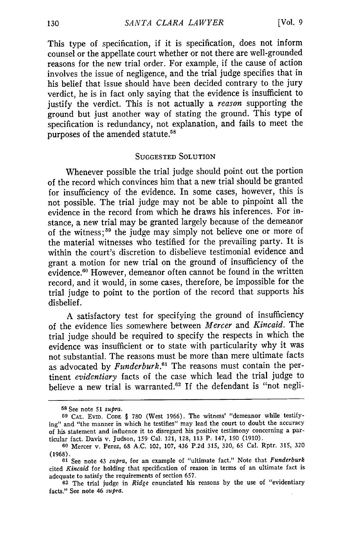This type of specification, if it is specification, does not inform counsel or the appellate court whether or not there are well-grounded reasons for the new trial order. For example, if the cause of action involves the issue of negligence, and the trial judge specifies that in his belief that issue should have been decided contrary to the jury verdict, he is in fact only saying that the evidence is insufficient to justify the verdict. This is not actually a *reason* supporting the ground but just another way of stating the ground. This type of specification is redundancy, not explanation, and fails to meet the purposes of the amended statute.<sup>58</sup>

#### SUGGESTED SOLUTION

Whenever possible the trial judge should point out the portion of the record which convinces him that a new trial should be granted for insufficiency of the evidence. In some cases, however, this is not possible. The trial judge may not be able to pinpoint all the evidence in the record from which he draws his inferences. For instance, a new trial may be granted largely because of the demeanor of the witness; 59 the judge may simply not believe one or more of the material witnesses who testified for the prevailing party. It is within the court's discretion to disbelieve testimonial evidence and grant a motion for new trial on the ground of insufficiency of the evidence.<sup>60</sup> However, demeanor often cannot be found in the writter record, and it would, in some cases, therefore, be impossible for the trial judge to point to the portion of the record that supports his disbelief.

A satisfactory test for specifying the ground of insufficiency of the evidence lies somewhere between *Mercer* and *Kincaid.* The trial judge should be required to specify the respects in which the evidence was insufficient or to state with particularity why it was not substantial. The reasons must be more than mere ultimate facts as advocated by *Funderburk.6'* The reasons must contain the pertinent *evidentiary* facts of the case which lead the trial judge to believe a new trial is warranted.<sup>62</sup> If the defendant is "not negli-

**<sup>58</sup>** See note **51** *supra.*

**<sup>59</sup> CAL.** EviD. **CODE** § 780 (West 1966). The witness' "demeanor while testifying" and "the manner in which he testifies" may lead the court to doubt the accuracy of his statement and influence it to disregard his positive testimony concerning a particular fact. Davis v. Judson, 159 Cal. 121, 128, 113 P. 147, 150 (1910).

**<sup>60</sup>**Mercer v. Perez, 68 A.C. 102, 107, 436 P.2d 315, 320, 65 Cal. Rptr. 315, 320 (1968).

**<sup>61</sup>**See note 43 *supra,* for an example of "ultimate fact." Note that *Funderburk* cited *Kincaid* for holding that specification of reason in terms of an ultimate fact is adequate to satisfy the requirements of section 657.

**<sup>62</sup>** The trial judge in *Ridge* enunciated his reasons by the use of "evidentiary facts." See note 46 *supra.*